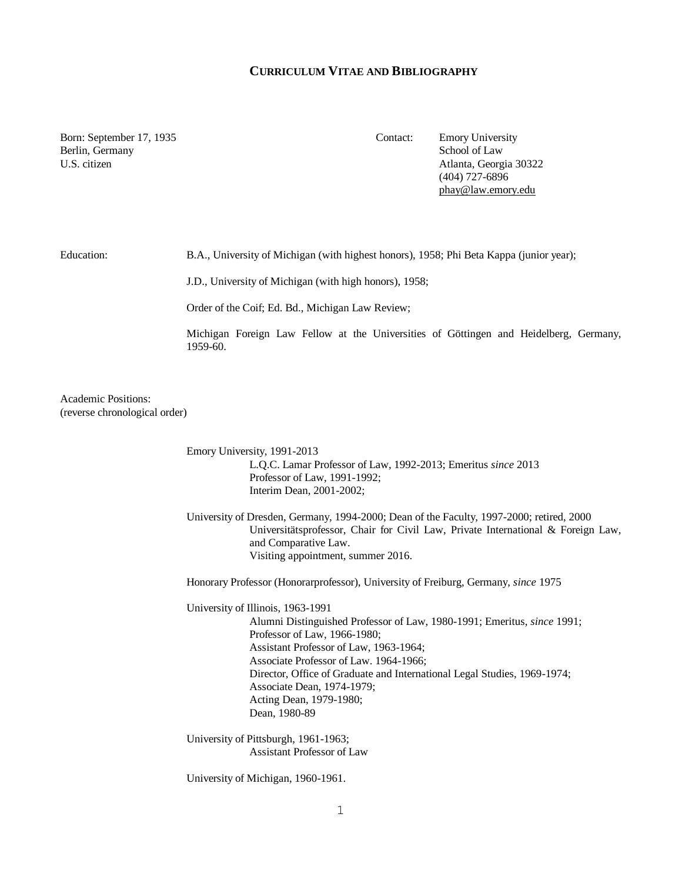## **CURRICULUM VITAE AND BIBLIOGRAPHY**

Born: September 17, 1935 Contact: Emory University Berlin, Germany School of Law

U.S. citizen Atlanta, Georgia 30322 (404) 727-6896 [phay@law.emory.edu](mailto:phay@law.emory.edu)

Education: B.A., University of Michigan (with highest honors), 1958; Phi Beta Kappa (junior year);

J.D., University of Michigan (with high honors), 1958;

Order of the Coif; Ed. Bd., Michigan Law Review;

Michigan Foreign Law Fellow at the Universities of Göttingen and Heidelberg, Germany, 1959-60.

Academic Positions: (reverse chronological order)

> Emory University, 1991-2013 L.Q.C. Lamar Professor of Law, 1992-2013; Emeritus *since* 2013 Professor of Law, 1991-1992; Interim Dean, 2001-2002;

University of Dresden, Germany, 1994-2000; Dean of the Faculty, 1997-2000; retired, 2000 Universitätsprofessor, Chair for Civil Law, Private International & Foreign Law, and Comparative Law. Visiting appointment, summer 2016.

Honorary Professor (Honorarprofessor), University of Freiburg, Germany, *since* 1975

University of Illinois, 1963-1991 Alumni Distinguished Professor of Law, 1980-1991; Emeritus, *since* 1991; Professor of Law, 1966-1980; Assistant Professor of Law, 1963-1964; Associate Professor of Law. 1964-1966; Director, Office of Graduate and International Legal Studies, 1969-1974; Associate Dean, 1974-1979; Acting Dean, 1979-1980; Dean, 1980-89

University of Pittsburgh, 1961-1963; Assistant Professor of Law

University of Michigan, 1960-1961.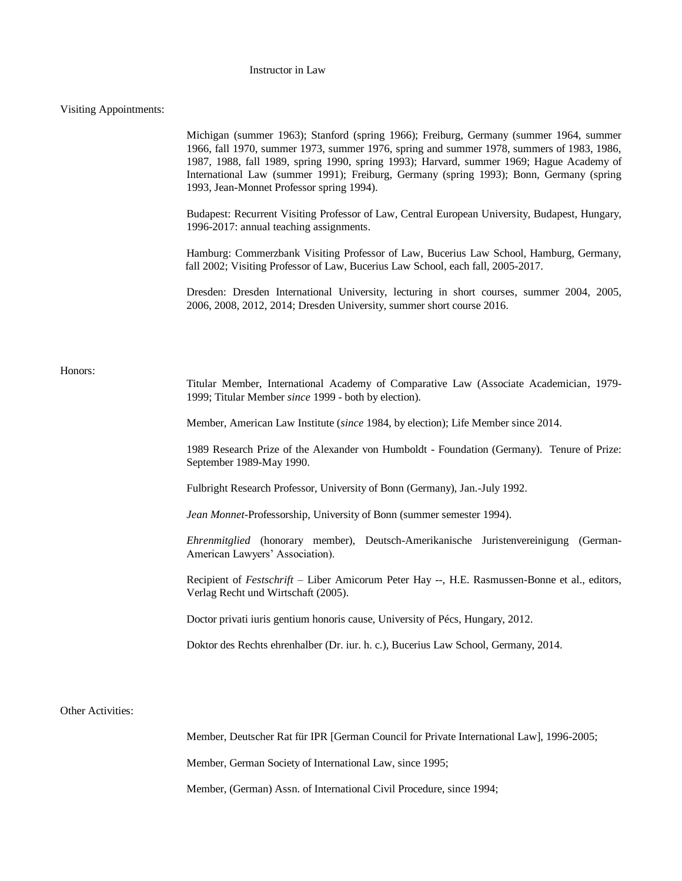# Instructor in Law

# Visiting Appointments:

|                   | Michigan (summer 1963); Stanford (spring 1966); Freiburg, Germany (summer 1964, summer<br>1966, fall 1970, summer 1973, summer 1976, spring and summer 1978, summers of 1983, 1986,<br>1987, 1988, fall 1989, spring 1990, spring 1993); Harvard, summer 1969; Hague Academy of<br>International Law (summer 1991); Freiburg, Germany (spring 1993); Bonn, Germany (spring<br>1993, Jean-Monnet Professor spring 1994). |
|-------------------|-------------------------------------------------------------------------------------------------------------------------------------------------------------------------------------------------------------------------------------------------------------------------------------------------------------------------------------------------------------------------------------------------------------------------|
|                   | Budapest: Recurrent Visiting Professor of Law, Central European University, Budapest, Hungary,<br>1996-2017: annual teaching assignments.                                                                                                                                                                                                                                                                               |
|                   | Hamburg: Commerzbank Visiting Professor of Law, Bucerius Law School, Hamburg, Germany,<br>fall 2002; Visiting Professor of Law, Bucerius Law School, each fall, 2005-2017.                                                                                                                                                                                                                                              |
|                   | Dresden: Dresden International University, lecturing in short courses, summer 2004, 2005,<br>2006, 2008, 2012, 2014; Dresden University, summer short course 2016.                                                                                                                                                                                                                                                      |
|                   |                                                                                                                                                                                                                                                                                                                                                                                                                         |
| Honors:           | Titular Member, International Academy of Comparative Law (Associate Academician, 1979-<br>1999; Titular Member since 1999 - both by election).                                                                                                                                                                                                                                                                          |
|                   | Member, American Law Institute (since 1984, by election); Life Member since 2014.                                                                                                                                                                                                                                                                                                                                       |
|                   | 1989 Research Prize of the Alexander von Humboldt - Foundation (Germany). Tenure of Prize:<br>September 1989-May 1990.                                                                                                                                                                                                                                                                                                  |
|                   | Fulbright Research Professor, University of Bonn (Germany), Jan.-July 1992.                                                                                                                                                                                                                                                                                                                                             |
|                   | Jean Monnet-Professorship, University of Bonn (summer semester 1994).                                                                                                                                                                                                                                                                                                                                                   |
|                   | Ehrenmitglied (honorary member), Deutsch-Amerikanische Juristenvereinigung (German-<br>American Lawyers' Association).                                                                                                                                                                                                                                                                                                  |
|                   | Recipient of Festschrift - Liber Amicorum Peter Hay --, H.E. Rasmussen-Bonne et al., editors,<br>Verlag Recht und Wirtschaft (2005).                                                                                                                                                                                                                                                                                    |
|                   | Doctor privati iuris gentium honoris cause, University of Pécs, Hungary, 2012.                                                                                                                                                                                                                                                                                                                                          |
|                   | Doktor des Rechts ehrenhalber (Dr. iur. h. c.), Bucerius Law School, Germany, 2014.                                                                                                                                                                                                                                                                                                                                     |
|                   |                                                                                                                                                                                                                                                                                                                                                                                                                         |
| Other Activities: |                                                                                                                                                                                                                                                                                                                                                                                                                         |
|                   | Member, Deutscher Rat für IPR [German Council for Private International Law], 1996-2005;                                                                                                                                                                                                                                                                                                                                |
|                   | Member, German Society of International Law, since 1995;                                                                                                                                                                                                                                                                                                                                                                |
|                   | Member, (German) Assn. of International Civil Procedure, since 1994;                                                                                                                                                                                                                                                                                                                                                    |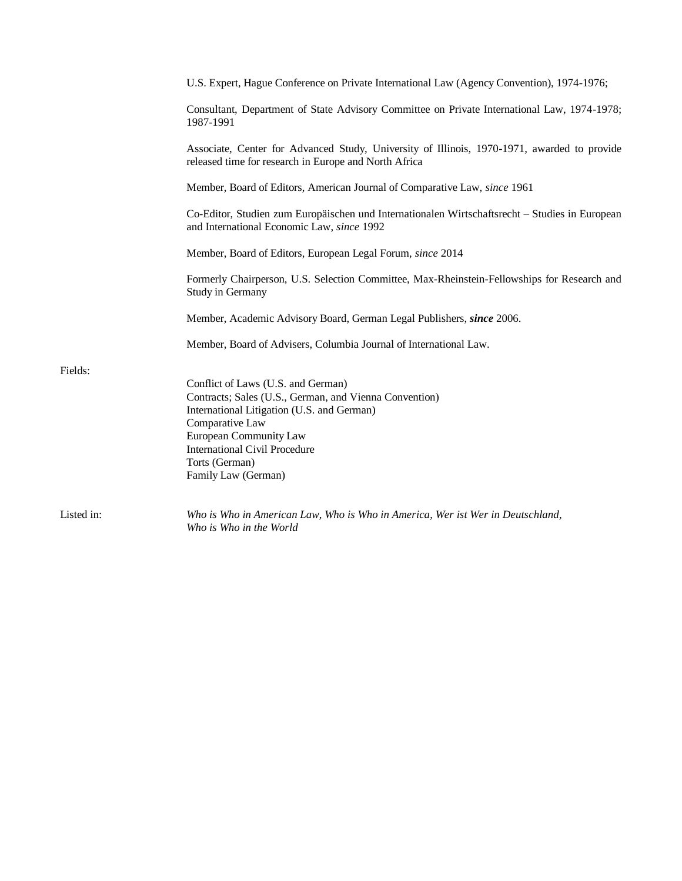|            | U.S. Expert, Hague Conference on Private International Law (Agency Convention), 1974-1976;                                                                                                                                                                               |
|------------|--------------------------------------------------------------------------------------------------------------------------------------------------------------------------------------------------------------------------------------------------------------------------|
|            | Consultant, Department of State Advisory Committee on Private International Law, 1974-1978;<br>1987-1991                                                                                                                                                                 |
|            | Associate, Center for Advanced Study, University of Illinois, 1970-1971, awarded to provide<br>released time for research in Europe and North Africa                                                                                                                     |
|            | Member, Board of Editors, American Journal of Comparative Law, since 1961                                                                                                                                                                                                |
|            | Co-Editor, Studien zum Europäischen und Internationalen Wirtschaftsrecht – Studies in European<br>and International Economic Law, since 1992                                                                                                                             |
|            | Member, Board of Editors, European Legal Forum, since 2014                                                                                                                                                                                                               |
|            | Formerly Chairperson, U.S. Selection Committee, Max-Rheinstein-Fellowships for Research and<br>Study in Germany                                                                                                                                                          |
|            | Member, Academic Advisory Board, German Legal Publishers, since 2006.                                                                                                                                                                                                    |
|            | Member, Board of Advisers, Columbia Journal of International Law.                                                                                                                                                                                                        |
| Fields:    | Conflict of Laws (U.S. and German)<br>Contracts; Sales (U.S., German, and Vienna Convention)<br>International Litigation (U.S. and German)<br>Comparative Law<br>European Community Law<br><b>International Civil Procedure</b><br>Torts (German)<br>Family Law (German) |
| Listed in: | Who is Who in American Law, Who is Who in America, Wer ist Wer in Deutschland,<br>Who is Who in the World                                                                                                                                                                |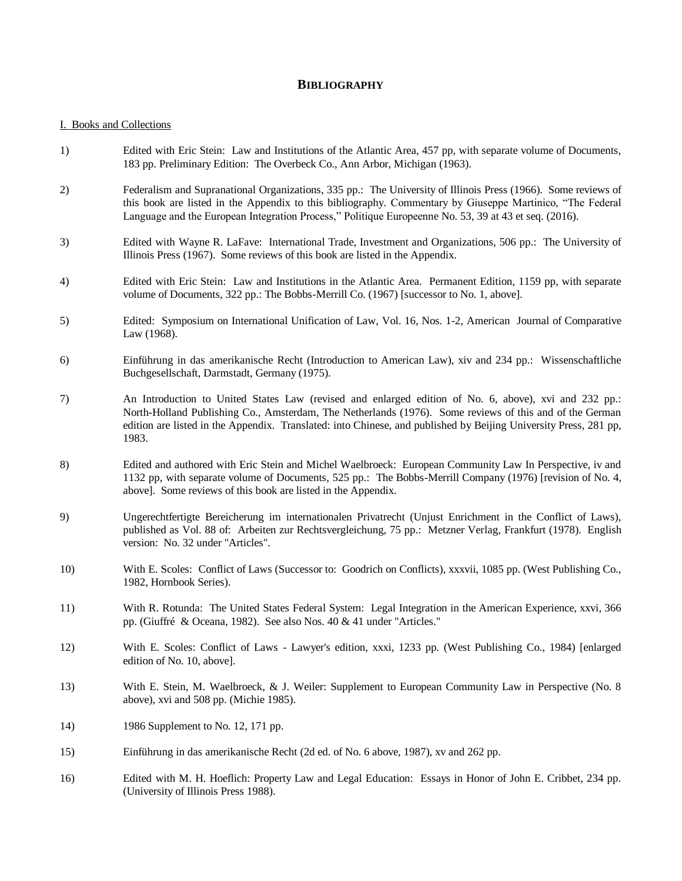# **BIBLIOGRAPHY**

### I. Books and Collections

- 1) Edited with Eric Stein: Law and Institutions of the Atlantic Area, 457 pp, with separate volume of Documents, 183 pp. Preliminary Edition: The Overbeck Co., Ann Arbor, Michigan (1963).
- 2) Federalism and Supranational Organizations, 335 pp.: The University of Illinois Press (1966). Some reviews of this book are listed in the Appendix to this bibliography. Commentary by Giuseppe Martinico, "The Federal Language and the European Integration Process," Politique Europeenne No. 53, 39 at 43 et seq. (2016).
- 3) Edited with Wayne R. LaFave: International Trade, Investment and Organizations, 506 pp.: The University of Illinois Press (1967). Some reviews of this book are listed in the Appendix.
- 4) Edited with Eric Stein: Law and Institutions in the Atlantic Area. Permanent Edition, 1159 pp, with separate volume of Documents, 322 pp.: The Bobbs-Merrill Co. (1967) [successor to No. 1, above].
- 5) Edited: Symposium on International Unification of Law, Vol. 16, Nos. 1-2, American Journal of Comparative Law (1968).
- 6) Einführung in das amerikanische Recht (Introduction to American Law), xiv and 234 pp.: Wissenschaftliche Buchgesellschaft, Darmstadt, Germany (1975).
- 7) An Introduction to United States Law (revised and enlarged edition of No. 6, above), xvi and 232 pp.: North-Holland Publishing Co., Amsterdam, The Netherlands (1976). Some reviews of this and of the German edition are listed in the Appendix. Translated: into Chinese, and published by Beijing University Press, 281 pp, 1983.
- 8) Edited and authored with Eric Stein and Michel Waelbroeck: European Community Law In Perspective, iv and 1132 pp, with separate volume of Documents, 525 pp.: The Bobbs-Merrill Company (1976) [revision of No. 4, above]. Some reviews of this book are listed in the Appendix.
- 9) Ungerechtfertigte Bereicherung im internationalen Privatrecht (Unjust Enrichment in the Conflict of Laws), published as Vol. 88 of: Arbeiten zur Rechtsvergleichung, 75 pp.: Metzner Verlag, Frankfurt (1978). English version: No. 32 under "Articles".
- 10) With E. Scoles: Conflict of Laws (Successor to: Goodrich on Conflicts), xxxvii, 1085 pp. (West Publishing Co., 1982, Hornbook Series).
- 11) With R. Rotunda: The United States Federal System: Legal Integration in the American Experience, xxvi, 366 pp. (Giuffré & Oceana, 1982). See also Nos. 40 & 41 under "Articles."
- 12) With E. Scoles: Conflict of Laws Lawyer's edition, xxxi, 1233 pp. (West Publishing Co., 1984) [enlarged edition of No. 10, above].
- 13) With E. Stein, M. Waelbroeck, & J. Weiler: Supplement to European Community Law in Perspective (No. 8 above), xvi and 508 pp. (Michie 1985).
- 14) 1986 Supplement to No. 12, 171 pp.
- 15) Einführung in das amerikanische Recht (2d ed. of No. 6 above, 1987), xv and 262 pp.
- 16) Edited with M. H. Hoeflich: Property Law and Legal Education: Essays in Honor of John E. Cribbet, 234 pp. (University of Illinois Press 1988).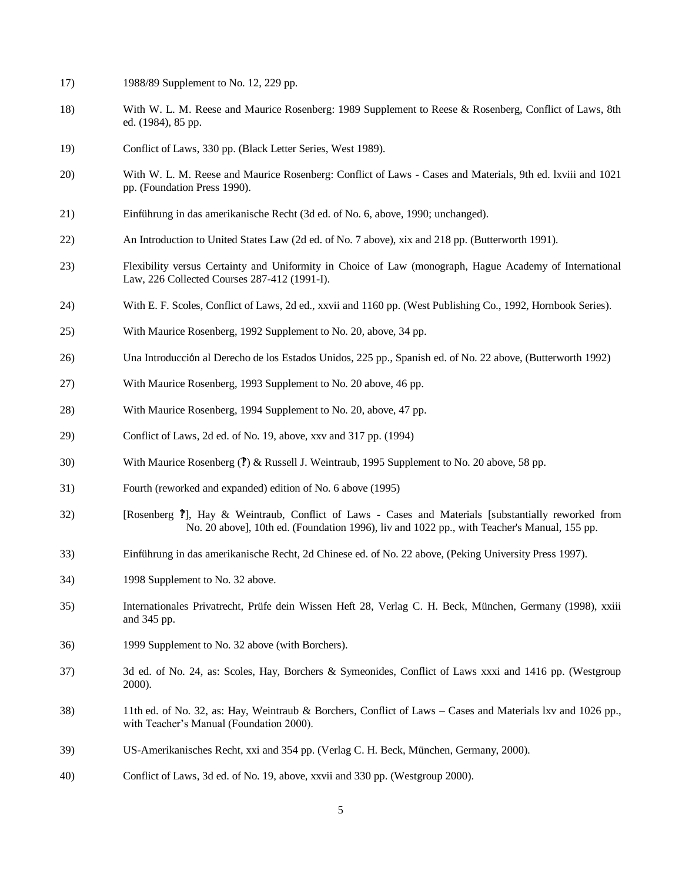- 17) 1988/89 Supplement to No. 12, 229 pp.
- 18) With W. L. M. Reese and Maurice Rosenberg: 1989 Supplement to Reese & Rosenberg, Conflict of Laws, 8th ed. (1984), 85 pp.
- 19) Conflict of Laws, 330 pp. (Black Letter Series, West 1989).
- 20) With W. L. M. Reese and Maurice Rosenberg: Conflict of Laws Cases and Materials, 9th ed. lxviii and 1021 pp. (Foundation Press 1990).
- 21) Einführung in das amerikanische Recht (3d ed. of No. 6, above, 1990; unchanged).
- 22) An Introduction to United States Law (2d ed. of No. 7 above), xix and 218 pp. (Butterworth 1991).
- 23) Flexibility versus Certainty and Uniformity in Choice of Law (monograph, Hague Academy of International Law, 226 Collected Courses 287-412 (1991-I).
- 24) With E. F. Scoles, Conflict of Laws, 2d ed., xxvii and 1160 pp. (West Publishing Co., 1992, Hornbook Series).
- 25) With Maurice Rosenberg, 1992 Supplement to No. 20, above, 34 pp.
- 26) Una Introducción al Derecho de los Estados Unidos, 225 pp., Spanish ed. of No. 22 above, (Butterworth 1992)
- 27) With Maurice Rosenberg, 1993 Supplement to No. 20 above, 46 pp.
- 28) With Maurice Rosenberg, 1994 Supplement to No. 20, above, 47 pp.
- 29) Conflict of Laws, 2d ed. of No. 19, above, xxv and 317 pp. (1994)
- 30) With Maurice Rosenberg (?) & Russell J. Weintraub, 1995 Supplement to No. 20 above, 58 pp.
- 31) Fourth (reworked and expanded) edition of No. 6 above (1995)
- 32) [Rosenberg ?], Hay & Weintraub, Conflict of Laws Cases and Materials [substantially reworked from No. 20 above], 10th ed. (Foundation 1996), liv and 1022 pp., with Teacher's Manual, 155 pp.
- 33) Einführung in das amerikanische Recht, 2d Chinese ed. of No. 22 above, (Peking University Press 1997).
- 34) 1998 Supplement to No. 32 above.
- 35) Internationales Privatrecht, Prüfe dein Wissen Heft 28, Verlag C. H. Beck, München, Germany (1998), xxiii and 345 pp.
- 36) 1999 Supplement to No. 32 above (with Borchers).
- 37) 3d ed. of No. 24, as: Scoles, Hay, Borchers & Symeonides, Conflict of Laws xxxi and 1416 pp. (Westgroup 2000).
- 38) 11th ed. of No. 32, as: Hay, Weintraub & Borchers, Conflict of Laws Cases and Materials lxv and 1026 pp., with Teacher's Manual (Foundation 2000).
- 39) US-Amerikanisches Recht, xxi and 354 pp. (Verlag C. H. Beck, München, Germany, 2000).
- 40) Conflict of Laws, 3d ed. of No. 19, above, xxvii and 330 pp. (Westgroup 2000).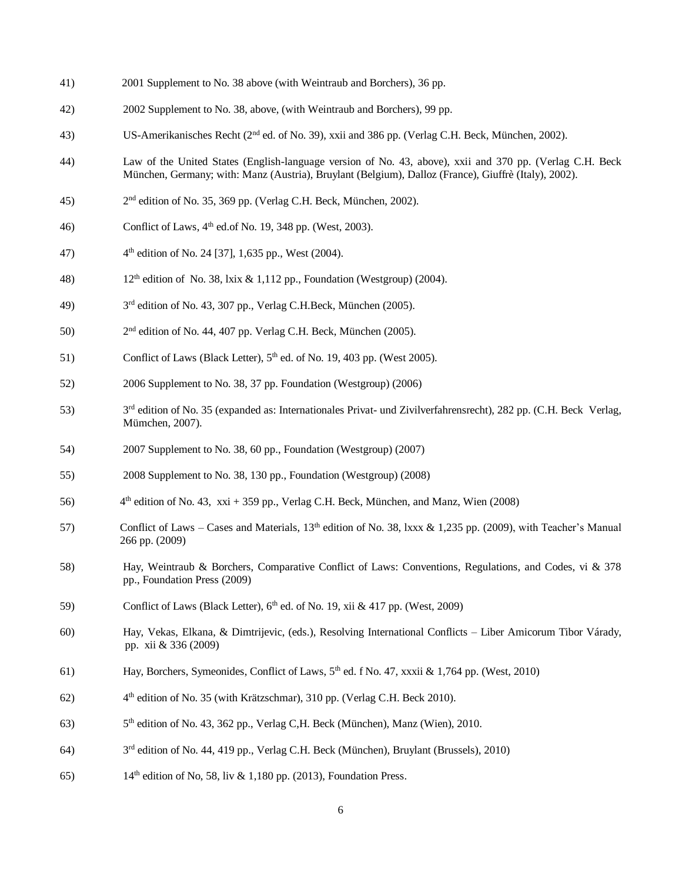- 41) 2001 Supplement to No. 38 above (with Weintraub and Borchers), 36 pp.
- 42) 2002 Supplement to No. 38, above, (with Weintraub and Borchers), 99 pp.
- 43) US-Amerikanisches Recht (2nd ed. of No. 39), xxii and 386 pp. (Verlag C.H. Beck, München, 2002).
- 44) Law of the United States (English-language version of No. 43, above), xxii and 370 pp. (Verlag C.H. Beck München, Germany; with: Manz (Austria), Bruylant (Belgium), Dalloz (France), Giuffrè (Italy), 2002).
- 45) 2  $2<sup>nd</sup>$  edition of No. 35, 369 pp. (Verlag C.H. Beck, München, 2002).
- 46) Conflict of Laws,  $4<sup>th</sup>$  ed.of No. 19, 348 pp. (West, 2003).
- 47) 4  $4<sup>th</sup>$  edition of No. 24 [37], 1,635 pp., West (2004).
- 48) 12<sup>th</sup> edition of No. 38, lxix & 1,112 pp., Foundation (Westgroup) (2004).
- 49) 3 3<sup>rd</sup> edition of No. 43, 307 pp., Verlag C.H.Beck, München (2005).
- 50)  $2<sup>nd</sup>$  edition of No. 44, 407 pp. Verlag C.H. Beck, München (2005).
- 51) Conflict of Laws (Black Letter),  $5<sup>th</sup>$  ed. of No. 19, 403 pp. (West 2005).
- 52) 2006 Supplement to No. 38, 37 pp. Foundation (Westgroup) (2006)
- 53)  $3<sup>rd</sup>$  edition of No. 35 (expanded as: Internationales Privat- und Zivilverfahrensrecht), 282 pp. (C.H. Beck Verlag, Mümchen, 2007).
- 54) 2007 Supplement to No. 38, 60 pp., Foundation (Westgroup) (2007)
- 55) 2008 Supplement to No. 38, 130 pp., Foundation (Westgroup) (2008)
- 56)  $4<sup>th</sup>$  edition of No. 43, xxi + 359 pp., Verlag C.H. Beck, München, and Manz, Wien (2008)
- 57) Conflict of Laws Cases and Materials, 13<sup>th</sup> edition of No. 38, lxxx & 1,235 pp. (2009), with Teacher's Manual 266 pp. (2009)
- 58) Hay, Weintraub & Borchers, Comparative Conflict of Laws: Conventions, Regulations, and Codes, vi & 378 pp., Foundation Press (2009)
- 59) Conflict of Laws (Black Letter), 6<sup>th</sup> ed. of No. 19, xii & 417 pp. (West, 2009)
- 60) Hay, Vekas, Elkana, & Dimtrijevic, (eds.), Resolving International Conflicts Liber Amicorum Tibor Várady, pp. xii & 336 (2009)
- 61) Hay, Borchers, Symeonides, Conflict of Laws,  $5<sup>th</sup>$  ed. f No. 47, xxxii & 1,764 pp. (West, 2010)
- 62) 4<sup>th</sup> edition of No. 35 (with Krätzschmar), 310 pp. (Verlag C.H. Beck 2010).
- $63)$ 5<sup>th</sup> edition of No. 43, 362 pp., Verlag C, H. Beck (München), Manz (Wien), 2010.
- 64)  $3<sup>rd</sup>$  edition of No. 44, 419 pp., Verlag C.H. Beck (München), Bruylant (Brussels), 2010)
- 65) 14th edition of No, 58, liv & 1,180 pp. (2013), Foundation Press.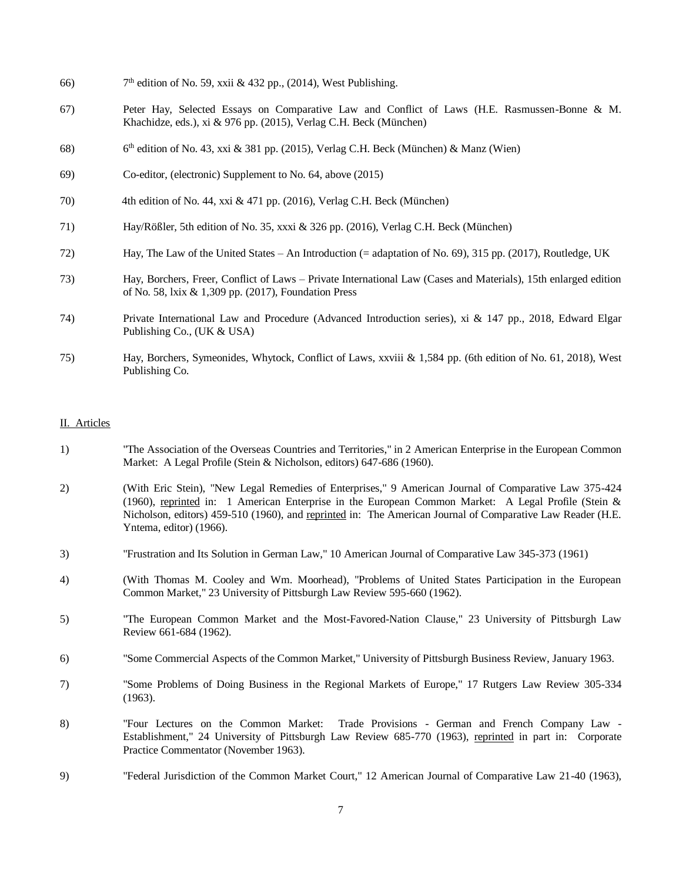- 66)  $7<sup>th</sup>$  edition of No. 59, xxii & 432 pp., (2014), West Publishing.
- 67) Peter Hay, Selected Essays on Comparative Law and Conflict of Laws (H.E. Rasmussen-Bonne & M. Khachidze, eds.), xi & 976 pp. (2015), Verlag C.H. Beck (München)
- 68) 6  $6<sup>th</sup>$  edition of No. 43, xxi & 381 pp. (2015), Verlag C.H. Beck (München) & Manz (Wien)
- 69) Co-editor, (electronic) Supplement to No. 64, above (2015)
- 70) 4th edition of No. 44, xxi & 471 pp. (2016), Verlag C.H. Beck (München)
- 71) Hay/Rößler, 5th edition of No. 35, xxxi & 326 pp. (2016), Verlag C.H. Beck (München)
- 72) Hay, The Law of the United States An Introduction (= adaptation of No. 69), 315 pp. (2017), Routledge, UK
- 73) Hay, Borchers, Freer, Conflict of Laws Private International Law (Cases and Materials), 15th enlarged edition of No. 58, lxix & 1,309 pp. (2017), Foundation Press
- 74) Private International Law and Procedure (Advanced Introduction series), xi & 147 pp., 2018, Edward Elgar Publishing Co., (UK & USA)
- 75) Hay, Borchers, Symeonides, Whytock, Conflict of Laws, xxviii & 1,584 pp. (6th edition of No. 61, 2018), West Publishing Co.

#### II. Articles

- 1) "The Association of the Overseas Countries and Territories," in 2 American Enterprise in the European Common Market: A Legal Profile (Stein & Nicholson, editors) 647-686 (1960).
- 2) (With Eric Stein), "New Legal Remedies of Enterprises," 9 American Journal of Comparative Law 375-424 (1960), reprinted in: 1 American Enterprise in the European Common Market: A Legal Profile (Stein & Nicholson, editors) 459-510 (1960), and reprinted in: The American Journal of Comparative Law Reader (H.E. Yntema, editor) (1966).
- 3) "Frustration and Its Solution in German Law," 10 American Journal of Comparative Law 345-373 (1961)
- 4) (With Thomas M. Cooley and Wm. Moorhead), "Problems of United States Participation in the European Common Market," 23 University of Pittsburgh Law Review 595-660 (1962).
- 5) "The European Common Market and the Most-Favored-Nation Clause," 23 University of Pittsburgh Law Review 661-684 (1962).
- 6) "Some Commercial Aspects of the Common Market," University of Pittsburgh Business Review, January 1963.
- 7) "Some Problems of Doing Business in the Regional Markets of Europe," 17 Rutgers Law Review 305-334 (1963).
- 8) "Four Lectures on the Common Market: Trade Provisions German and French Company Law Establishment," 24 University of Pittsburgh Law Review 685-770 (1963), reprinted in part in: Corporate Practice Commentator (November 1963).
- 9) "Federal Jurisdiction of the Common Market Court," 12 American Journal of Comparative Law 21-40 (1963),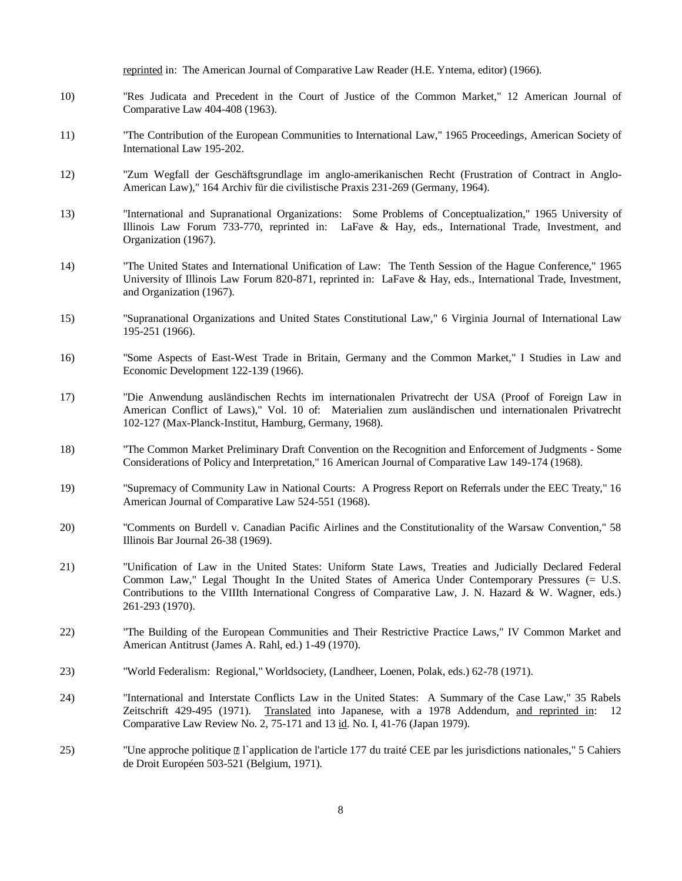reprinted in: The American Journal of Comparative Law Reader (H.E. Yntema, editor) (1966).

- 10) "Res Judicata and Precedent in the Court of Justice of the Common Market," 12 American Journal of Comparative Law 404-408 (1963).
- 11) "The Contribution of the European Communities to International Law," 1965 Proceedings, American Society of International Law 195-202.
- 12) "Zum Wegfall der Geschäftsgrundlage im anglo-amerikanischen Recht (Frustration of Contract in Anglo-American Law)," 164 Archiv für die civilistische Praxis 231-269 (Germany, 1964).
- 13) "International and Supranational Organizations: Some Problems of Conceptualization," 1965 University of Illinois Law Forum 733-770, reprinted in: LaFave & Hay, eds., International Trade, Investment, and Organization (1967).
- 14) "The United States and International Unification of Law: The Tenth Session of the Hague Conference," 1965 University of Illinois Law Forum 820-871, reprinted in: LaFave & Hay, eds., International Trade, Investment, and Organization (1967).
- 15) "Supranational Organizations and United States Constitutional Law," 6 Virginia Journal of International Law 195-251 (1966).
- 16) "Some Aspects of East-West Trade in Britain, Germany and the Common Market," I Studies in Law and Economic Development 122-139 (1966).
- 17) "Die Anwendung ausländischen Rechts im internationalen Privatrecht der USA (Proof of Foreign Law in American Conflict of Laws)," Vol. 10 of: Materialien zum ausländischen und internationalen Privatrecht 102-127 (Max-Planck-Institut, Hamburg, Germany, 1968).
- 18) "The Common Market Preliminary Draft Convention on the Recognition and Enforcement of Judgments Some Considerations of Policy and Interpretation," 16 American Journal of Comparative Law 149-174 (1968).
- 19) "Supremacy of Community Law in National Courts: A Progress Report on Referrals under the EEC Treaty," 16 American Journal of Comparative Law 524-551 (1968).
- 20) "Comments on Burdell v. Canadian Pacific Airlines and the Constitutionality of the Warsaw Convention," 58 Illinois Bar Journal 26-38 (1969).
- 21) "Unification of Law in the United States: Uniform State Laws, Treaties and Judicially Declared Federal Common Law," Legal Thought In the United States of America Under Contemporary Pressures (= U.S. Contributions to the VIIIth International Congress of Comparative Law, J. N. Hazard & W. Wagner, eds.) 261-293 (1970).
- 22) "The Building of the European Communities and Their Restrictive Practice Laws," IV Common Market and American Antitrust (James A. Rahl, ed.) 1-49 (1970).
- 23) "World Federalism: Regional," Worldsociety, (Landheer, Loenen, Polak, eds.) 62-78 (1971).
- 24) "International and Interstate Conflicts Law in the United States: A Summary of the Case Law," 35 Rabels Zeitschrift 429-495 (1971). Translated into Japanese, with a 1978 Addendum, and reprinted in: 12 Comparative Law Review No. 2, 75-171 and 13 id. No. I, 41-76 (Japan 1979).
- 25) "Une approche politique  $\mathbb{Z}$  l'application de l'article 177 du traité CEE par les jurisdictions nationales," 5 Cahiers de Droit Européen 503-521 (Belgium, 1971).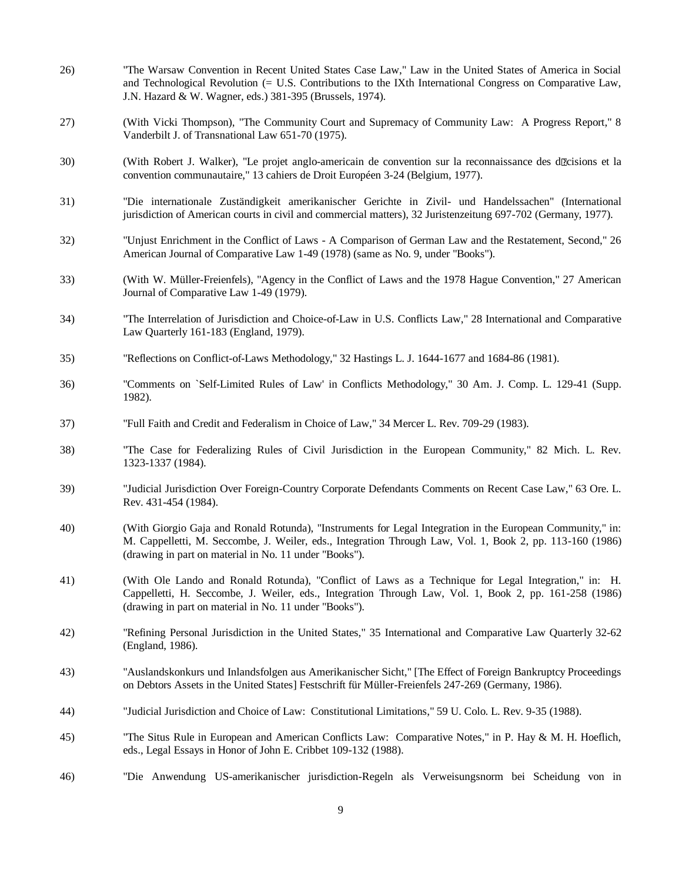| 26) | "The Warsaw Convention in Recent United States Case Law," Law in the United States of America in Social<br>and Technological Revolution (= U.S. Contributions to the IXth International Congress on Comparative Law,<br>J.N. Hazard & W. Wagner, eds.) 381-395 (Brussels, 1974).  |
|-----|-----------------------------------------------------------------------------------------------------------------------------------------------------------------------------------------------------------------------------------------------------------------------------------|
| 27) | (With Vicki Thompson), "The Community Court and Supremacy of Community Law: A Progress Report," 8<br>Vanderbilt J. of Transnational Law 651-70 (1975).                                                                                                                            |
| 30) | (With Robert J. Walker), "Le projet anglo-americain de convention sur la reconnaissance des daleisions et la<br>convention communautaire," 13 cahiers de Droit Européen 3-24 (Belgium, 1977).                                                                                     |
| 31) | "Die internationale Zuständigkeit amerikanischer Gerichte in Zivil- und Handelssachen" (International<br>jurisdiction of American courts in civil and commercial matters), 32 Juristenzeitung 697-702 (Germany, 1977).                                                            |
| 32) | "Unjust Enrichment in the Conflict of Laws - A Comparison of German Law and the Restatement, Second," 26<br>American Journal of Comparative Law 1-49 (1978) (same as No. 9, under "Books").                                                                                       |
| 33) | (With W. Müller-Freienfels), "Agency in the Conflict of Laws and the 1978 Hague Convention," 27 American<br>Journal of Comparative Law 1-49 (1979).                                                                                                                               |
| 34) | "The Interrelation of Jurisdiction and Choice-of-Law in U.S. Conflicts Law," 28 International and Comparative<br>Law Quarterly 161-183 (England, 1979).                                                                                                                           |
| 35) | "Reflections on Conflict-of-Laws Methodology," 32 Hastings L. J. 1644-1677 and 1684-86 (1981).                                                                                                                                                                                    |
| 36) | "Comments on `Self-Limited Rules of Law' in Conflicts Methodology," 30 Am. J. Comp. L. 129-41 (Supp.<br>1982).                                                                                                                                                                    |
| 37) | "Full Faith and Credit and Federalism in Choice of Law," 34 Mercer L. Rev. 709-29 (1983).                                                                                                                                                                                         |
| 38) | "The Case for Federalizing Rules of Civil Jurisdiction in the European Community," 82 Mich. L. Rev.<br>1323-1337 (1984).                                                                                                                                                          |
| 39) | "Judicial Jurisdiction Over Foreign-Country Corporate Defendants Comments on Recent Case Law," 63 Ore. L.<br>Rev. 431-454 (1984).                                                                                                                                                 |
| 40) | (With Giorgio Gaja and Ronald Rotunda), "Instruments for Legal Integration in the European Community," in:<br>M. Cappelletti, M. Seccombe, J. Weiler, eds., Integration Through Law, Vol. 1, Book 2, pp. 113-160 (1986)<br>(drawing in part on material in No. 11 under "Books"). |
| 41) | (With Ole Lando and Ronald Rotunda), "Conflict of Laws as a Technique for Legal Integration," in: H.<br>Cappelletti, H. Seccombe, J. Weiler, eds., Integration Through Law, Vol. 1, Book 2, pp. 161-258 (1986)<br>(drawing in part on material in No. 11 under "Books").          |
| 42) | "Refining Personal Jurisdiction in the United States," 35 International and Comparative Law Quarterly 32-62<br>(England, 1986).                                                                                                                                                   |
| 43) | "Auslandskonkurs und Inlandsfolgen aus Amerikanischer Sicht," [The Effect of Foreign Bankruptcy Proceedings<br>on Debtors Assets in the United States] Festschrift für Müller-Freienfels 247-269 (Germany, 1986).                                                                 |
| 44) | "Judicial Jurisdiction and Choice of Law: Constitutional Limitations," 59 U. Colo. L. Rev. 9-35 (1988).                                                                                                                                                                           |
| 45) | "The Situs Rule in European and American Conflicts Law: Comparative Notes," in P. Hay & M. H. Hoeflich,<br>eds., Legal Essays in Honor of John E. Cribbet 109-132 (1988).                                                                                                         |
| 46) | "Die Anwendung US-amerikanischer jurisdiction-Regeln als Verweisungsnorm bei Scheidung von in                                                                                                                                                                                     |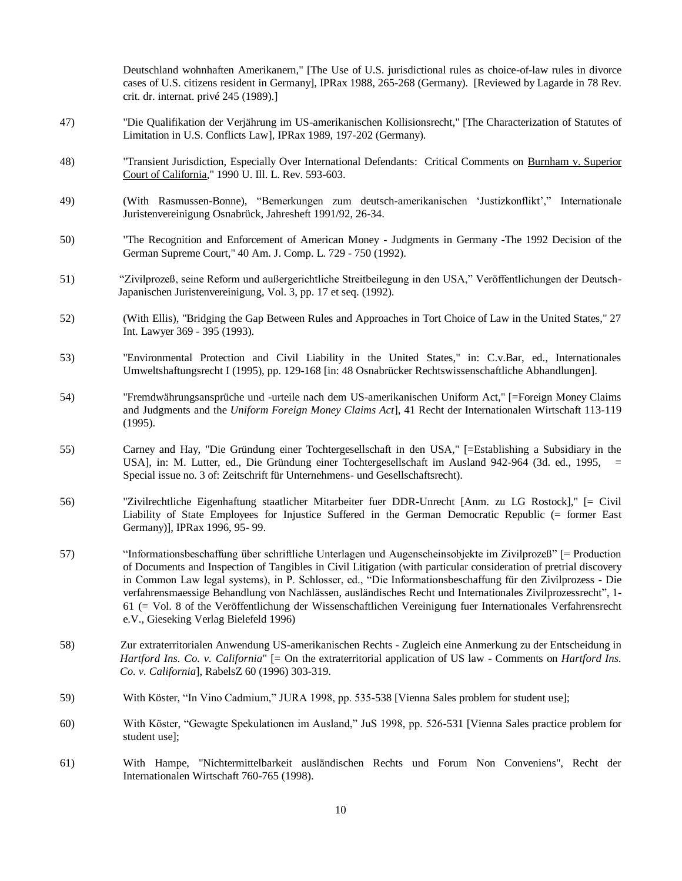Deutschland wohnhaften Amerikanern," [The Use of U.S. jurisdictional rules as choice-of-law rules in divorce cases of U.S. citizens resident in Germany], IPRax 1988, 265-268 (Germany). [Reviewed by Lagarde in 78 Rev. crit. dr. internat. privé 245 (1989).]

- 47) "Die Qualifikation der Verjährung im US-amerikanischen Kollisionsrecht," [The Characterization of Statutes of Limitation in U.S. Conflicts Law], IPRax 1989, 197-202 (Germany).
- 48) "Transient Jurisdiction, Especially Over International Defendants: Critical Comments on Burnham v. Superior Court of California," 1990 U. Ill. L. Rev. 593-603.
- 49) (With Rasmussen-Bonne), "Bemerkungen zum deutsch-amerikanischen 'Justizkonflikt'," Internationale Juristenvereinigung Osnabrück, Jahresheft 1991/92, 26-34.
- 50) "The Recognition and Enforcement of American Money Judgments in Germany -The 1992 Decision of the German Supreme Court," 40 Am. J. Comp. L. 729 - 750 (1992).
- 51) "Zivilprozeß, seine Reform und außergerichtliche Streitbeilegung in den USA," Veröffentlichungen der Deutsch- Japanischen Juristenvereinigung, Vol. 3, pp. 17 et seq. (1992).
- 52) (With Ellis), "Bridging the Gap Between Rules and Approaches in Tort Choice of Law in the United States," 27 Int. Lawyer 369 - 395 (1993).
- 53) "Environmental Protection and Civil Liability in the United States," in: C.v.Bar, ed., Internationales Umweltshaftungsrecht I (1995), pp. 129-168 [in: 48 Osnabrücker Rechtswissenschaftliche Abhandlungen].
- 54) "Fremdwährungsansprüche und -urteile nach dem US-amerikanischen Uniform Act," [=Foreign Money Claims and Judgments and the *Uniform Foreign Money Claims Act*], 41 Recht der Internationalen Wirtschaft 113-119 (1995).
- 55) Carney and Hay, "Die Gründung einer Tochtergesellschaft in den USA," [=Establishing a Subsidiary in the USA], in: M. Lutter, ed., Die Gründung einer Tochtergesellschaft im Ausland 942-964 (3d. ed., 1995, = Special issue no. 3 of: Zeitschrift für Unternehmens- und Gesellschaftsrecht).
- 56) "Zivilrechtliche Eigenhaftung staatlicher Mitarbeiter fuer DDR-Unrecht [Anm. zu LG Rostock]," [= Civil Liability of State Employees for Injustice Suffered in the German Democratic Republic (= former East Germany)], IPRax 1996, 95- 99.
- 57) "Informationsbeschaffung über schriftliche Unterlagen und Augenscheinsobjekte im Zivilprozeß" [= Production of Documents and Inspection of Tangibles in Civil Litigation (with particular consideration of pretrial discovery in Common Law legal systems), in P. Schlosser, ed., "Die Informationsbeschaffung für den Zivilprozess - Die verfahrensmaessige Behandlung von Nachlässen, ausländisches Recht und Internationales Zivilprozessrecht", 1- 61 (= Vol. 8 of the Veröffentlichung der Wissenschaftlichen Vereinigung fuer Internationales Verfahrensrecht e.V., Gieseking Verlag Bielefeld 1996)
- 58) Zur extraterritorialen Anwendung US-amerikanischen Rechts Zugleich eine Anmerkung zu der Entscheidung in *Hartford Ins. Co. v. California*" [= On the extraterritorial application of US law - Comments on *Hartford Ins. Co. v. California*], RabelsZ 60 (1996) 303-319.
- 59) With Köster, "In Vino Cadmium," JURA 1998, pp. 535-538 [Vienna Sales problem for student use];
- 60) With Köster, "Gewagte Spekulationen im Ausland," JuS 1998, pp. 526-531 [Vienna Sales practice problem for student use];
- 61) With Hampe, "Nichtermittelbarkeit ausländischen Rechts und Forum Non Conveniens", Recht der Internationalen Wirtschaft 760-765 (1998).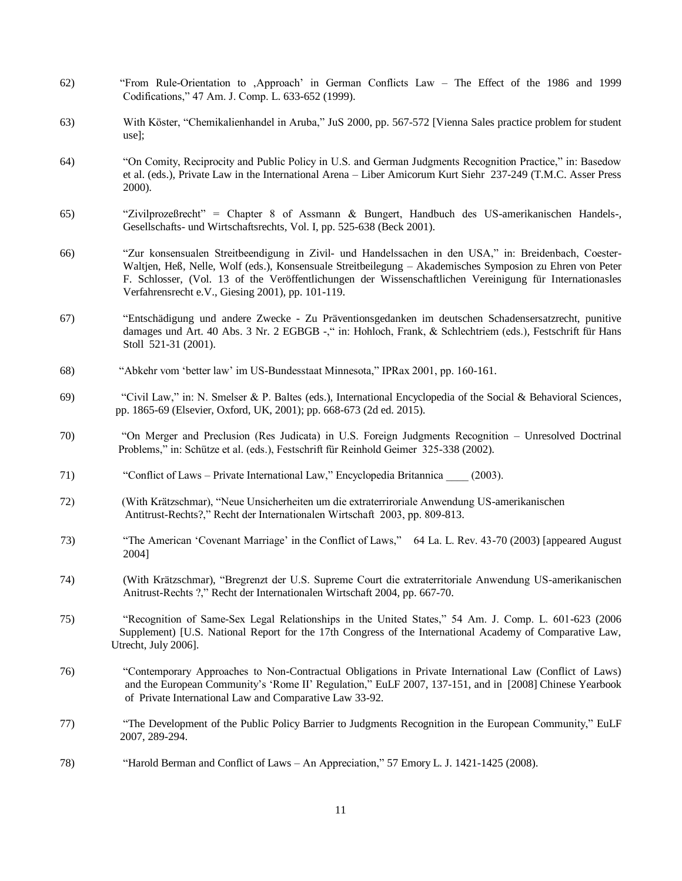- 62) "From Rule-Orientation to 'Approach' in German Conflicts Law The Effect of the 1986 and 1999 Codifications," 47 Am. J. Comp. L. 633-652 (1999).
- 63) With Köster, "Chemikalienhandel in Aruba," JuS 2000, pp. 567-572 [Vienna Sales practice problem for student use];
- 64) "On Comity, Reciprocity and Public Policy in U.S. and German Judgments Recognition Practice," in: Basedow et al. (eds.), Private Law in the International Arena – Liber Amicorum Kurt Siehr 237-249 (T.M.C. Asser Press 2000).
- 65) "Zivilprozeßrecht" = Chapter 8 of Assmann & Bungert, Handbuch des US-amerikanischen Handels-, Gesellschafts- und Wirtschaftsrechts, Vol. I, pp. 525-638 (Beck 2001).
- 66) "Zur konsensualen Streitbeendigung in Zivil- und Handelssachen in den USA," in: Breidenbach, Coester-Waltjen, Heß, Nelle, Wolf (eds.), Konsensuale Streitbeilegung – Akademisches Symposion zu Ehren von Peter F. Schlosser, (Vol. 13 of the Veröffentlichungen der Wissenschaftlichen Vereinigung für Internationasles Verfahrensrecht e.V., Giesing 2001), pp. 101-119.
- 67) "Entschädigung und andere Zwecke Zu Präventionsgedanken im deutschen Schadensersatzrecht, punitive damages und Art. 40 Abs. 3 Nr. 2 EGBGB -, " in: Hohloch, Frank, & Schlechtriem (eds.), Festschrift für Hans Stoll 521-31 (2001).
- 68) "Abkehr vom 'better law' im US-Bundesstaat Minnesota," IPRax 2001, pp. 160-161.
- 69) "Civil Law," in: N. Smelser & P. Baltes (eds.), International Encyclopedia of the Social & Behavioral Sciences, pp. 1865-69 (Elsevier, Oxford, UK, 2001); pp. 668-673 (2d ed. 2015).
- 70) "On Merger and Preclusion (Res Judicata) in U.S. Foreign Judgments Recognition Unresolved Doctrinal Problems," in: Schütze et al. (eds.), Festschrift für Reinhold Geimer 325-338 (2002).
- 71) "Conflict of Laws Private International Law," Encyclopedia Britannica \_\_\_\_ (2003).
- 72) (With Krätzschmar), "Neue Unsicherheiten um die extraterriroriale Anwendung US-amerikanischen Antitrust-Rechts?," Recht der Internationalen Wirtschaft 2003, pp. 809-813.
- 73) "The American 'Covenant Marriage' in the Conflict of Laws," 64 La. L. Rev. 43-70 (2003) [appeared August 2004]
- 74) (With Krätzschmar), "Bregrenzt der U.S. Supreme Court die extraterritoriale Anwendung US-amerikanischen Anitrust-Rechts ?," Recht der Internationalen Wirtschaft 2004, pp. 667-70.
- 75) "Recognition of Same-Sex Legal Relationships in the United States," 54 Am. J. Comp. L. 601-623 (2006 Supplement) [U.S. National Report for the 17th Congress of the International Academy of Comparative Law, Utrecht, July 2006].
- 76) "Contemporary Approaches to Non-Contractual Obligations in Private International Law (Conflict of Laws) and the European Community's 'Rome II' Regulation," EuLF 2007, 137-151, and in [2008] Chinese Yearbook of Private International Law and Comparative Law 33-92.
- 77) "The Development of the Public Policy Barrier to Judgments Recognition in the European Community," EuLF 2007, 289-294.
- 78) "Harold Berman and Conflict of Laws An Appreciation," 57 Emory L. J. 1421-1425 (2008).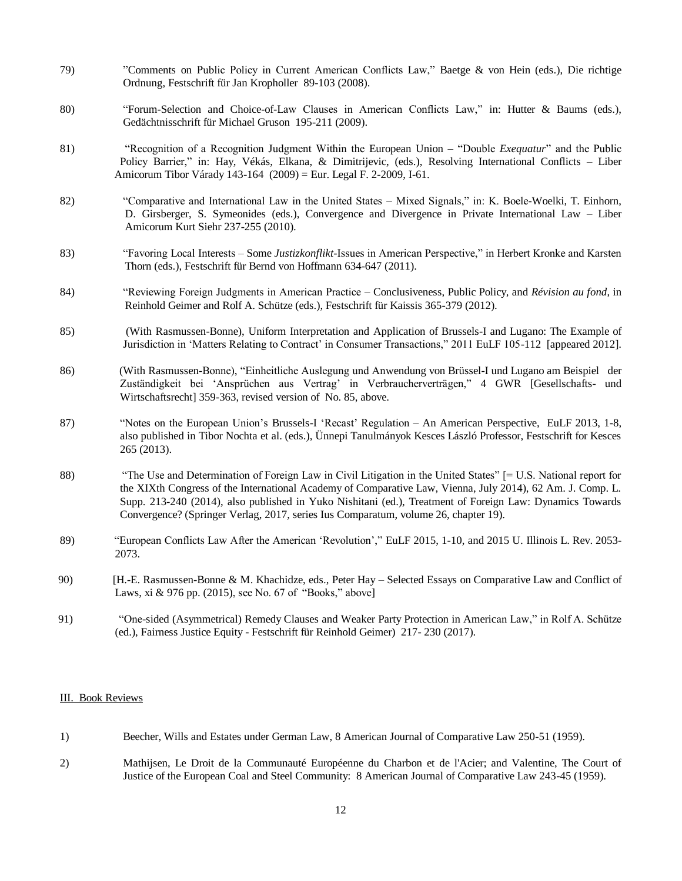- 79) "Comments on Public Policy in Current American Conflicts Law," Baetge & von Hein (eds.), Die richtige Ordnung, Festschrift für Jan Kropholler 89-103 (2008).
- 80) "Forum-Selection and Choice-of-Law Clauses in American Conflicts Law," in: Hutter & Baums (eds.), Gedächtnisschrift für Michael Gruson 195-211 (2009).
- 81) "Recognition of a Recognition Judgment Within the European Union "Double *Exequatur*" and the Public Policy Barrier," in: Hay, Vékás, Elkana, & Dimitrijevic, (eds.), Resolving International Conflicts – Liber Amicorum Tibor Várady 143-164 (2009) = Eur. Legal F. 2-2009, I-61.
- 82) "Comparative and International Law in the United States Mixed Signals," in: K. Boele-Woelki, T. Einhorn, D. Girsberger, S. Symeonides (eds.), Convergence and Divergence in Private International Law – Liber Amicorum Kurt Siehr 237-255 (2010).
- 83) "Favoring Local Interests Some *Justizkonflikt*-Issues in American Perspective," in Herbert Kronke and Karsten Thorn (eds.), Festschrift für Bernd von Hoffmann 634-647 (2011).
- 84) "Reviewing Foreign Judgments in American Practice Conclusiveness, Public Policy, and *Révision au fond*, in Reinhold Geimer and Rolf A. Schütze (eds.), Festschrift für Kaissis 365-379 (2012).
- 85) (With Rasmussen-Bonne), Uniform Interpretation and Application of Brussels-I and Lugano: The Example of Jurisdiction in 'Matters Relating to Contract' in Consumer Transactions," 2011 EuLF 105-112 [appeared 2012].
- 86) (With Rasmussen-Bonne), "Einheitliche Auslegung und Anwendung von Brüssel-I und Lugano am Beispiel der Zuständigkeit bei 'Ansprüchen aus Vertrag' in Verbraucherverträgen," 4 GWR [Gesellschafts- und Wirtschaftsrecht] 359-363, revised version of No. 85, above.
- 87) "Notes on the European Union's Brussels-I 'Recast' Regulation An American Perspective, EuLF 2013, 1-8, also published in Tibor Nochta et al. (eds.), Ünnepi Tanulmányok Kesces László Professor, Festschrift for Kesces 265 (2013).
- 88) "The Use and Determination of Foreign Law in Civil Litigation in the United States" [= U.S. National report for the XIXth Congress of the International Academy of Comparative Law, Vienna, July 2014), 62 Am. J. Comp. L. Supp. 213-240 (2014), also published in Yuko Nishitani (ed.), Treatment of Foreign Law: Dynamics Towards Convergence? (Springer Verlag, 2017, series Ius Comparatum, volume 26, chapter 19).
- 89) "European Conflicts Law After the American 'Revolution'," EuLF 2015, 1-10, and 2015 U. Illinois L. Rev. 2053- 2073.
- 90) [H.-E. Rasmussen-Bonne & M. Khachidze, eds., Peter Hay Selected Essays on Comparative Law and Conflict of Laws, xi & 976 pp. (2015), see No. 67 of "Books," above]
- 91) "One-sided (Asymmetrical) Remedy Clauses and Weaker Party Protection in American Law," in Rolf A. Schütze (ed.), Fairness Justice Equity - Festschrift für Reinhold Geimer) 217- 230 (2017).

### III. Book Reviews

- 1) Beecher, Wills and Estates under German Law, 8 American Journal of Comparative Law 250-51 (1959).
- 2) Mathijsen, Le Droit de la Communauté Européenne du Charbon et de l'Acier; and Valentine, The Court of Justice of the European Coal and Steel Community: 8 American Journal of Comparative Law 243-45 (1959).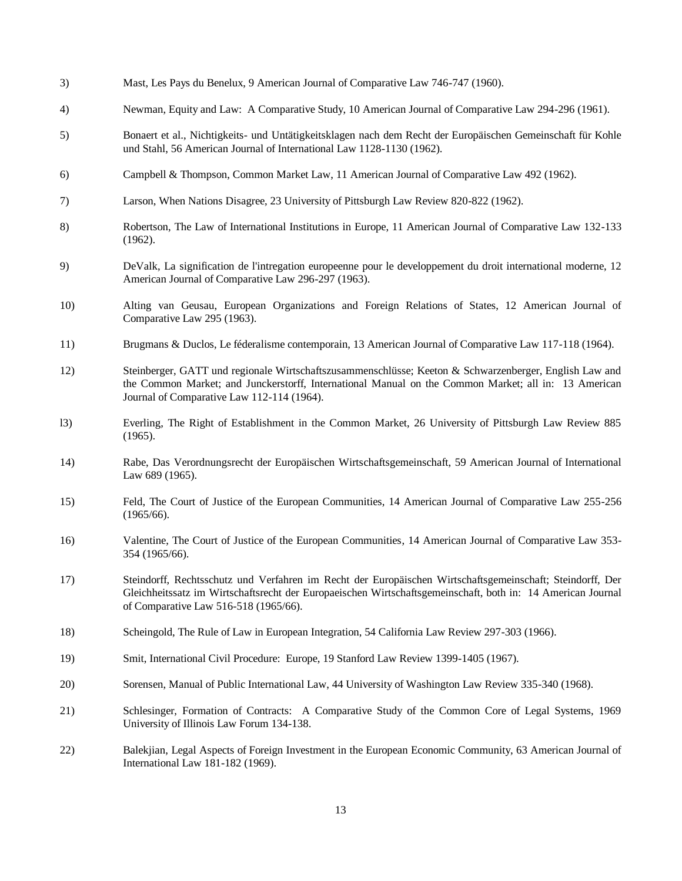- 3) Mast, Les Pays du Benelux, 9 American Journal of Comparative Law 746-747 (1960).
- 4) Newman, Equity and Law: A Comparative Study, 10 American Journal of Comparative Law 294-296 (1961).
- 5) Bonaert et al., Nichtigkeits- und Untätigkeitsklagen nach dem Recht der Europäischen Gemeinschaft für Kohle und Stahl, 56 American Journal of International Law 1128-1130 (1962).
- 6) Campbell & Thompson, Common Market Law, 11 American Journal of Comparative Law 492 (1962).
- 7) Larson, When Nations Disagree, 23 University of Pittsburgh Law Review 820-822 (1962).
- 8) Robertson, The Law of International Institutions in Europe, 11 American Journal of Comparative Law 132-133 (1962).
- 9) DeValk, La signification de l'intregation europeenne pour le developpement du droit international moderne, 12 American Journal of Comparative Law 296-297 (1963).
- 10) Alting van Geusau, European Organizations and Foreign Relations of States, 12 American Journal of Comparative Law 295 (1963).
- 11) Brugmans & Duclos, Le féderalisme contemporain, 13 American Journal of Comparative Law 117-118 (1964).
- 12) Steinberger, GATT und regionale Wirtschaftszusammenschlüsse; Keeton & Schwarzenberger, English Law and the Common Market; and Junckerstorff, International Manual on the Common Market; all in: 13 American Journal of Comparative Law 112-114 (1964).
- l3) Everling, The Right of Establishment in the Common Market, 26 University of Pittsburgh Law Review 885 (1965).
- 14) Rabe, Das Verordnungsrecht der Europäischen Wirtschaftsgemeinschaft, 59 American Journal of International Law 689 (1965).
- 15) Feld, The Court of Justice of the European Communities, 14 American Journal of Comparative Law 255-256 (1965/66).
- 16) Valentine, The Court of Justice of the European Communities, 14 American Journal of Comparative Law 353- 354 (1965/66).
- 17) Steindorff, Rechtsschutz und Verfahren im Recht der Europäischen Wirtschaftsgemeinschaft; Steindorff, Der Gleichheitssatz im Wirtschaftsrecht der Europaeischen Wirtschaftsgemeinschaft, both in: 14 American Journal of Comparative Law 516-518 (1965/66).
- 18) Scheingold, The Rule of Law in European Integration, 54 California Law Review 297-303 (1966).
- 19) Smit, International Civil Procedure: Europe, 19 Stanford Law Review 1399-1405 (1967).
- 20) Sorensen, Manual of Public International Law, 44 University of Washington Law Review 335-340 (1968).
- 21) Schlesinger, Formation of Contracts: A Comparative Study of the Common Core of Legal Systems, 1969 University of Illinois Law Forum 134-138.
- 22) Balekjian, Legal Aspects of Foreign Investment in the European Economic Community, 63 American Journal of International Law 181-182 (1969).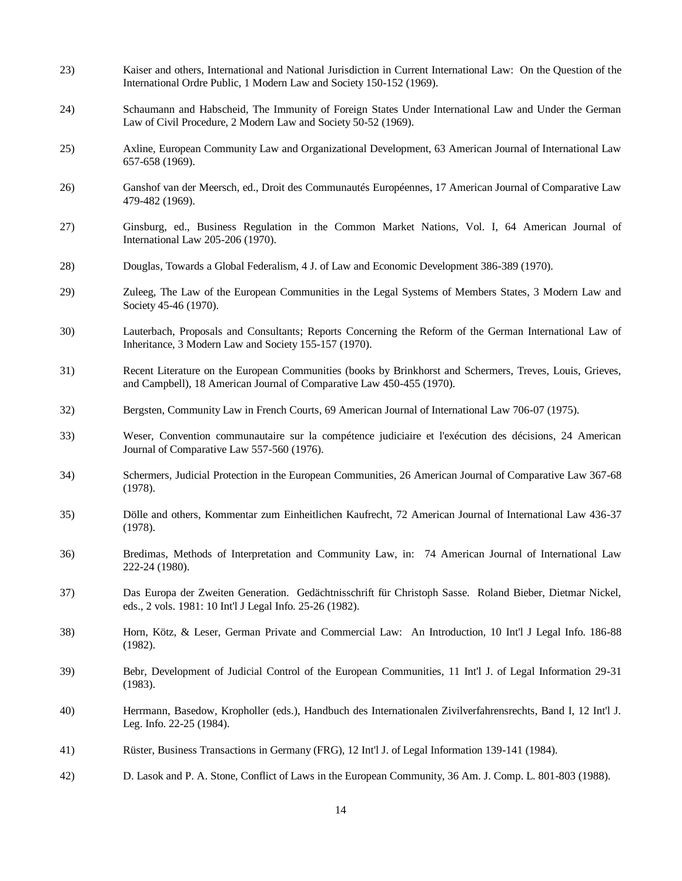| 23) | Kaiser and others, International and National Jurisdiction in Current International Law: On the Question of the<br>International Ordre Public, 1 Modern Law and Society 150-152 (1969). |
|-----|-----------------------------------------------------------------------------------------------------------------------------------------------------------------------------------------|
| 24) | Schaumann and Habscheid, The Immunity of Foreign States Under International Law and Under the German<br>Law of Civil Procedure, 2 Modern Law and Society 50-52 (1969).                  |
| 25) | Axline, European Community Law and Organizational Development, 63 American Journal of International Law<br>657-658 (1969).                                                              |
| 26) | Ganshof van der Meersch, ed., Droit des Communautés Européennes, 17 American Journal of Comparative Law<br>479-482 (1969).                                                              |
| 27) | Ginsburg, ed., Business Regulation in the Common Market Nations, Vol. I, 64 American Journal of<br>International Law 205-206 (1970).                                                    |
| 28) | Douglas, Towards a Global Federalism, 4 J. of Law and Economic Development 386-389 (1970).                                                                                              |
| 29) | Zuleeg, The Law of the European Communities in the Legal Systems of Members States, 3 Modern Law and<br>Society 45-46 (1970).                                                           |
| 30) | Lauterbach, Proposals and Consultants; Reports Concerning the Reform of the German International Law of<br>Inheritance, 3 Modern Law and Society 155-157 (1970).                        |
| 31) | Recent Literature on the European Communities (books by Brinkhorst and Schermers, Treves, Louis, Grieves,<br>and Campbell), 18 American Journal of Comparative Law 450-455 (1970).      |
| 32) | Bergsten, Community Law in French Courts, 69 American Journal of International Law 706-07 (1975).                                                                                       |
| 33) | Weser, Convention communautaire sur la compétence judiciaire et l'exécution des décisions, 24 American<br>Journal of Comparative Law 557-560 (1976).                                    |
| 34) | Schermers, Judicial Protection in the European Communities, 26 American Journal of Comparative Law 367-68<br>(1978).                                                                    |
| 35) | Dölle and others, Kommentar zum Einheitlichen Kaufrecht, 72 American Journal of International Law 436-37<br>(1978).                                                                     |
| 36) | Bredimas, Methods of Interpretation and Community Law, in: 74 American Journal of International Law<br>222-24 (1980).                                                                   |
| 37) | Das Europa der Zweiten Generation. Gedächtnisschrift für Christoph Sasse. Roland Bieber, Dietmar Nickel,<br>eds., 2 vols. 1981: 10 Int'l J Legal Info. 25-26 (1982).                    |
| 38) | Horn, Kötz, & Leser, German Private and Commercial Law: An Introduction, 10 Int'l J Legal Info. 186-88<br>(1982).                                                                       |
| 39) | Bebr, Development of Judicial Control of the European Communities, 11 Int'l J. of Legal Information 29-31<br>(1983).                                                                    |
| 40) | Herrmann, Basedow, Kropholler (eds.), Handbuch des Internationalen Zivilverfahrensrechts, Band I, 12 Int'l J.<br>Leg. Info. 22-25 (1984).                                               |
| 41) | Rüster, Business Transactions in Germany (FRG), 12 Int'l J. of Legal Information 139-141 (1984).                                                                                        |
| 42) | D. Lasok and P. A. Stone, Conflict of Laws in the European Community, 36 Am. J. Comp. L. 801-803 (1988).                                                                                |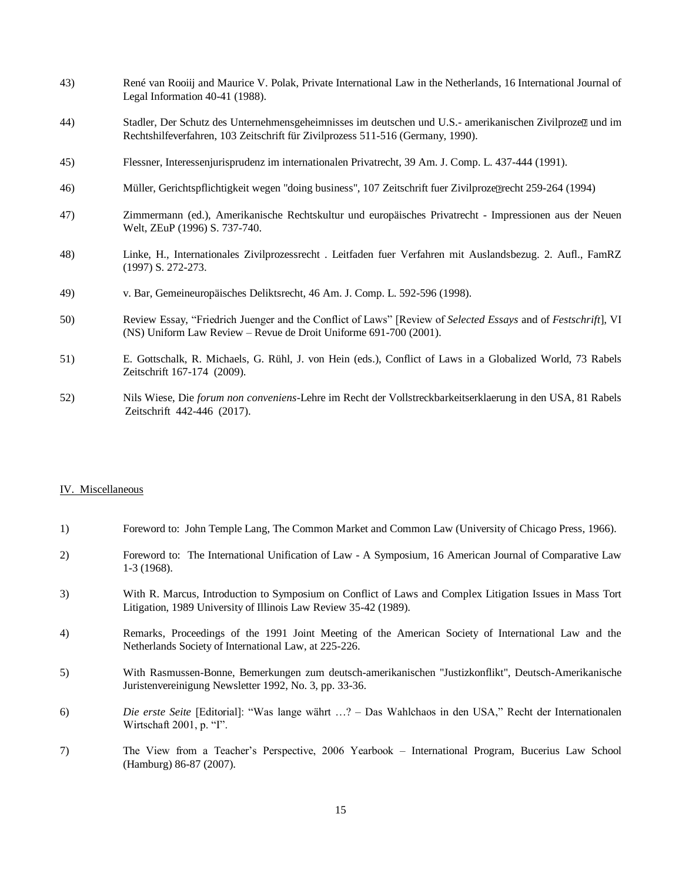- 43) René van Rooiij and Maurice V. Polak, Private International Law in the Netherlands, 16 International Journal of Legal Information 40-41 (1988).
- 44) Stadler, Der Schutz des Unternehmensgeheimnisses im deutschen und U.S.- amerikanischen Zivilproze $\mathbb D$  und im Rechtshilfeverfahren, 103 Zeitschrift für Zivilprozess 511-516 (Germany, 1990).
- 45) Flessner, Interessenjurisprudenz im internationalen Privatrecht, 39 Am. J. Comp. L. 437-444 (1991).
- 46) Müller, Gerichtspflichtigkeit wegen "doing business", 107 Zeitschrift fuer Zivilproze Precht 259-264 (1994)
- 47) Zimmermann (ed.), Amerikanische Rechtskultur und europäisches Privatrecht Impressionen aus der Neuen Welt, ZEuP (1996) S. 737-740.
- 48) Linke, H., Internationales Zivilprozessrecht . Leitfaden fuer Verfahren mit Auslandsbezug. 2. Aufl., FamRZ (1997) S. 272-273.
- 49) v. Bar, Gemeineuropäisches Deliktsrecht, 46 Am. J. Comp. L. 592-596 (1998).
- 50) Review Essay, "Friedrich Juenger and the Conflict of Laws" [Review of *Selected Essays* and of *Festschrift*], VI (NS) Uniform Law Review – Revue de Droit Uniforme 691-700 (2001).
- 51) E. Gottschalk, R. Michaels, G. Rühl, J. von Hein (eds.), Conflict of Laws in a Globalized World, 73 Rabels Zeitschrift 167-174 (2009).
- 52) Nils Wiese, Die *forum non conveniens-*Lehre im Recht der Vollstreckbarkeitserklaerung in den USA, 81 Rabels Zeitschrift 442-446 (2017).

#### IV. Miscellaneous

- 1) Foreword to: John Temple Lang, The Common Market and Common Law (University of Chicago Press, 1966).
- 2) Foreword to: The International Unification of Law A Symposium, 16 American Journal of Comparative Law 1-3 (1968).
- 3) With R. Marcus, Introduction to Symposium on Conflict of Laws and Complex Litigation Issues in Mass Tort Litigation, 1989 University of Illinois Law Review 35-42 (1989).
- 4) Remarks, Proceedings of the 1991 Joint Meeting of the American Society of International Law and the Netherlands Society of International Law, at 225-226.
- 5) With Rasmussen-Bonne, Bemerkungen zum deutsch-amerikanischen "Justizkonflikt", Deutsch-Amerikanische Juristenvereinigung Newsletter 1992, No. 3, pp. 33-36.
- 6) *Die erste Seite* [Editorial]: "Was lange währt …? Das Wahlchaos in den USA," Recht der Internationalen Wirtschaft 2001, p. "I".
- 7) The View from a Teacher's Perspective, 2006 Yearbook International Program, Bucerius Law School (Hamburg) 86-87 (2007).